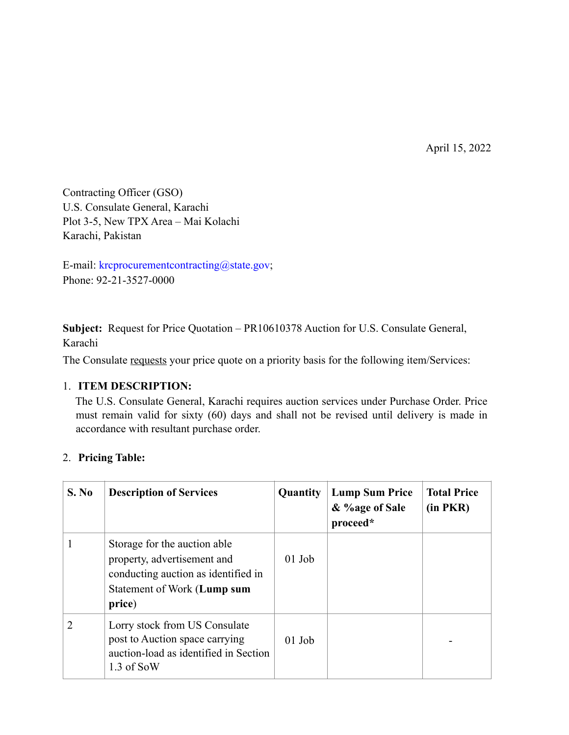April 15, 2022

Contracting Officer (GSO) U.S. Consulate General, Karachi Plot 3-5, New TPX Area – Mai Kolachi Karachi, Pakistan

E-mail: krcprocurementcontracting@state.gov; Phone: 92-21-3527-0000

**Subject:** Request for Price Quotation – PR10610378 Auction for U.S. Consulate General, Karachi

The Consulate requests your price quote on a priority basis for the following item/Services:

#### 1. **ITEM DESCRIPTION:**

The U.S. Consulate General, Karachi requires auction services under Purchase Order. Price must remain valid for sixty (60) days and shall not be revised until delivery is made in accordance with resultant purchase order.

## 2. **Pricing Table:**

| S. No                       | <b>Description of Services</b>                                                                                                              | <b>Quantity</b> | <b>Lump Sum Price</b><br>& %age of Sale<br>proceed* | <b>Total Price</b><br>$(in$ $PKR)$ |
|-----------------------------|---------------------------------------------------------------------------------------------------------------------------------------------|-----------------|-----------------------------------------------------|------------------------------------|
|                             | Storage for the auction able<br>property, advertisement and<br>conducting auction as identified in<br>Statement of Work (Lump sum<br>price) | $01$ Job        |                                                     |                                    |
| $\mathcal{D}_{\mathcal{L}}$ | Lorry stock from US Consulate<br>post to Auction space carrying<br>auction-load as identified in Section<br>1.3 of SoW                      | $01$ Job        |                                                     |                                    |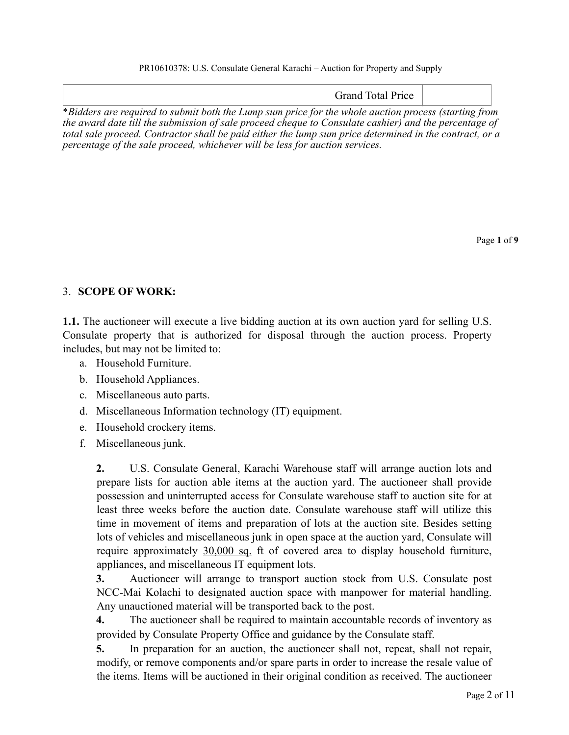Grand Total Price

\**Bidders are required to submit both the Lump sum price for the whole auction process (starting from the award date till the submission of sale proceed cheque to Consulate cashier) and the percentage of total sale proceed. Contractor shall be paid either the lump sum price determined in the contract, or a percentage of the sale proceed, whichever will be less for auction services.* 

Page **1** of **9**

# 3. **SCOPE OF WORK:**

**1.1.** The auctioneer will execute a live bidding auction at its own auction yard for selling U.S. Consulate property that is authorized for disposal through the auction process. Property includes, but may not be limited to:

- a. Household Furniture.
- b. Household Appliances.
- c. Miscellaneous auto parts.
- d. Miscellaneous Information technology (IT) equipment.
- e. Household crockery items.
- f. Miscellaneous junk.

**2.** U.S. Consulate General, Karachi Warehouse staff will arrange auction lots and prepare lists for auction able items at the auction yard. The auctioneer shall provide possession and uninterrupted access for Consulate warehouse staff to auction site for at least three weeks before the auction date. Consulate warehouse staff will utilize this time in movement of items and preparation of lots at the auction site. Besides setting lots of vehicles and miscellaneous junk in open space at the auction yard, Consulate will require approximately 30,000 sq. ft of covered area to display household furniture, appliances, and miscellaneous IT equipment lots.

**3.** Auctioneer will arrange to transport auction stock from U.S. Consulate post NCC-Mai Kolachi to designated auction space with manpower for material handling. Any unauctioned material will be transported back to the post.

**4.** The auctioneer shall be required to maintain accountable records of inventory as provided by Consulate Property Office and guidance by the Consulate staff.

**5.** In preparation for an auction, the auctioneer shall not, repeat, shall not repair, modify, or remove components and/or spare parts in order to increase the resale value of the items. Items will be auctioned in their original condition as received. The auctioneer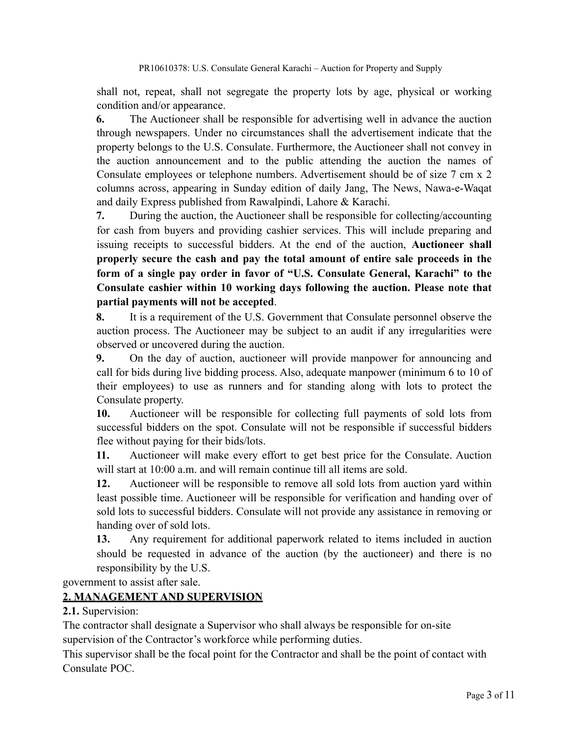shall not, repeat, shall not segregate the property lots by age, physical or working condition and/or appearance.

**6.** The Auctioneer shall be responsible for advertising well in advance the auction through newspapers. Under no circumstances shall the advertisement indicate that the property belongs to the U.S. Consulate. Furthermore, the Auctioneer shall not convey in the auction announcement and to the public attending the auction the names of Consulate employees or telephone numbers. Advertisement should be of size 7 cm x 2 columns across, appearing in Sunday edition of daily Jang, The News, Nawa-e-Waqat and daily Express published from Rawalpindi, Lahore & Karachi.

**7.** During the auction, the Auctioneer shall be responsible for collecting/accounting for cash from buyers and providing cashier services. This will include preparing and issuing receipts to successful bidders. At the end of the auction, **Auctioneer shall properly secure the cash and pay the total amount of entire sale proceeds in the form of a single pay order in favor of "U.S. Consulate General, Karachi" to the Consulate cashier within 10 working days following the auction. Please note that partial payments will not be accepted**.

**8.** It is a requirement of the U.S. Government that Consulate personnel observe the auction process. The Auctioneer may be subject to an audit if any irregularities were observed or uncovered during the auction.

**9.** On the day of auction, auctioneer will provide manpower for announcing and call for bids during live bidding process. Also, adequate manpower (minimum 6 to 10 of their employees) to use as runners and for standing along with lots to protect the Consulate property.

**10.** Auctioneer will be responsible for collecting full payments of sold lots from successful bidders on the spot. Consulate will not be responsible if successful bidders flee without paying for their bids/lots.

**11.** Auctioneer will make every effort to get best price for the Consulate. Auction will start at 10:00 a.m. and will remain continue till all items are sold.

**12.** Auctioneer will be responsible to remove all sold lots from auction yard within least possible time. Auctioneer will be responsible for verification and handing over of sold lots to successful bidders. Consulate will not provide any assistance in removing or handing over of sold lots.

**13.** Any requirement for additional paperwork related to items included in auction should be requested in advance of the auction (by the auctioneer) and there is no responsibility by the U.S.

government to assist after sale.

## **2. MANAGEMENT AND SUPERVISION**

**2.1.** Supervision:

The contractor shall designate a Supervisor who shall always be responsible for on-site supervision of the Contractor's workforce while performing duties.

This supervisor shall be the focal point for the Contractor and shall be the point of contact with Consulate POC.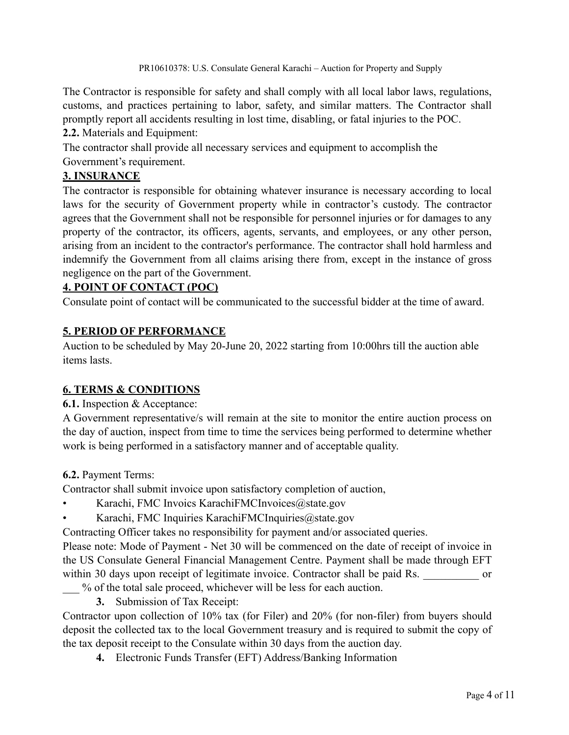The Contractor is responsible for safety and shall comply with all local labor laws, regulations, customs, and practices pertaining to labor, safety, and similar matters. The Contractor shall promptly report all accidents resulting in lost time, disabling, or fatal injuries to the POC. **2.2.** Materials and Equipment:

The contractor shall provide all necessary services and equipment to accomplish the Government's requirement.

# **3. INSURANCE**

The contractor is responsible for obtaining whatever insurance is necessary according to local laws for the security of Government property while in contractor's custody. The contractor agrees that the Government shall not be responsible for personnel injuries or for damages to any property of the contractor, its officers, agents, servants, and employees, or any other person, arising from an incident to the contractor's performance. The contractor shall hold harmless and indemnify the Government from all claims arising there from, except in the instance of gross negligence on the part of the Government.

## **4. POINT OF CONTACT (POC)**

Consulate point of contact will be communicated to the successful bidder at the time of award.

# **5. PERIOD OF PERFORMANCE**

Auction to be scheduled by May 20-June 20, 2022 starting from 10:00hrs till the auction able items lasts.

## **6. TERMS & CONDITIONS**

**6.1.** Inspection & Acceptance:

A Government representative/s will remain at the site to monitor the entire auction process on the day of auction, inspect from time to time the services being performed to determine whether work is being performed in a satisfactory manner and of acceptable quality.

**6.2.** Payment Terms:

Contractor shall submit invoice upon satisfactory completion of auction,

- Karachi, FMC Invoics KarachiFMCInvoices@state.gov
- Karachi, FMC Inquiries KarachiFMCInquiries@state.gov

Contracting Officer takes no responsibility for payment and/or associated queries.

Please note: Mode of Payment - Net 30 will be commenced on the date of receipt of invoice in the US Consulate General Financial Management Centre. Payment shall be made through EFT within 30 days upon receipt of legitimate invoice. Contractor shall be paid Rs. or

- \_\_\_ % of the total sale proceed, whichever will be less for each auction.
	- **3.** Submission of Tax Receipt:

Contractor upon collection of 10% tax (for Filer) and 20% (for non-filer) from buyers should deposit the collected tax to the local Government treasury and is required to submit the copy of the tax deposit receipt to the Consulate within 30 days from the auction day.

**4.** Electronic Funds Transfer (EFT) Address/Banking Information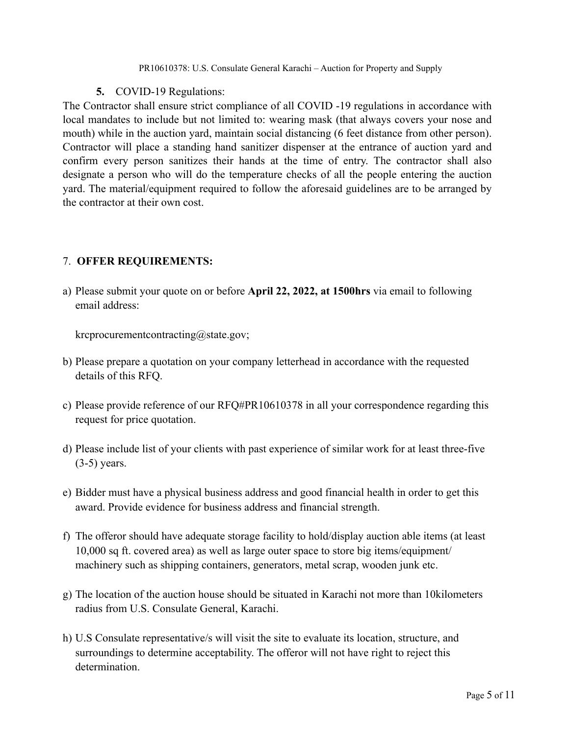### **5.** COVID-19 Regulations:

The Contractor shall ensure strict compliance of all COVID -19 regulations in accordance with local mandates to include but not limited to: wearing mask (that always covers your nose and mouth) while in the auction yard, maintain social distancing (6 feet distance from other person). Contractor will place a standing hand sanitizer dispenser at the entrance of auction yard and confirm every person sanitizes their hands at the time of entry. The contractor shall also designate a person who will do the temperature checks of all the people entering the auction yard. The material/equipment required to follow the aforesaid guidelines are to be arranged by the contractor at their own cost.

# 7. **OFFER REQUIREMENTS:**

a) Please submit your quote on or before **April 22, 2022, at 1500hrs** via email to following email address:

krcprocurementcontracting@state.gov;

- b) Please prepare a quotation on your company letterhead in accordance with the requested details of this RFQ.
- c) Please provide reference of our RFQ#PR10610378 in all your correspondence regarding this request for price quotation.
- d) Please include list of your clients with past experience of similar work for at least three-five (3-5) years.
- e) Bidder must have a physical business address and good financial health in order to get this award. Provide evidence for business address and financial strength.
- f) The offeror should have adequate storage facility to hold/display auction able items (at least 10,000 sq ft. covered area) as well as large outer space to store big items/equipment/ machinery such as shipping containers, generators, metal scrap, wooden junk etc.
- g) The location of the auction house should be situated in Karachi not more than 10kilometers radius from U.S. Consulate General, Karachi.
- h) U.S Consulate representative/s will visit the site to evaluate its location, structure, and surroundings to determine acceptability. The offeror will not have right to reject this determination.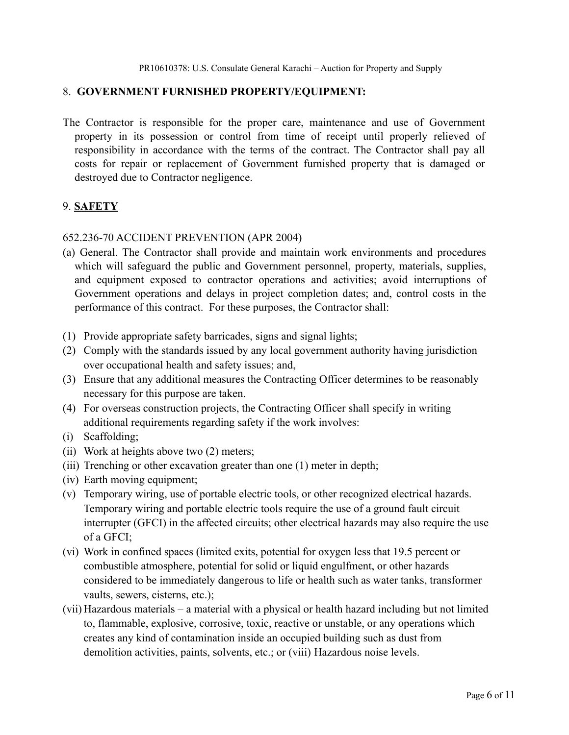#### 8. **GOVERNMENT FURNISHED PROPERTY/EQUIPMENT:**

The Contractor is responsible for the proper care, maintenance and use of Government property in its possession or control from time of receipt until properly relieved of responsibility in accordance with the terms of the contract. The Contractor shall pay all costs for repair or replacement of Government furnished property that is damaged or destroyed due to Contractor negligence.

### 9. **SAFETY**

#### 652.236-70 ACCIDENT PREVENTION (APR 2004)

- (a) General. The Contractor shall provide and maintain work environments and procedures which will safeguard the public and Government personnel, property, materials, supplies, and equipment exposed to contractor operations and activities; avoid interruptions of Government operations and delays in project completion dates; and, control costs in the performance of this contract. For these purposes, the Contractor shall:
- (1) Provide appropriate safety barricades, signs and signal lights;
- (2) Comply with the standards issued by any local government authority having jurisdiction over occupational health and safety issues; and,
- (3) Ensure that any additional measures the Contracting Officer determines to be reasonably necessary for this purpose are taken.
- (4) For overseas construction projects, the Contracting Officer shall specify in writing additional requirements regarding safety if the work involves:
- (i) Scaffolding;
- (ii) Work at heights above two (2) meters;
- (iii) Trenching or other excavation greater than one (1) meter in depth;
- (iv) Earth moving equipment;
- (v) Temporary wiring, use of portable electric tools, or other recognized electrical hazards. Temporary wiring and portable electric tools require the use of a ground fault circuit interrupter (GFCI) in the affected circuits; other electrical hazards may also require the use of a GFCI;
- (vi) Work in confined spaces (limited exits, potential for oxygen less that 19.5 percent or combustible atmosphere, potential for solid or liquid engulfment, or other hazards considered to be immediately dangerous to life or health such as water tanks, transformer vaults, sewers, cisterns, etc.);
- (vii) Hazardous materials a material with a physical or health hazard including but not limited to, flammable, explosive, corrosive, toxic, reactive or unstable, or any operations which creates any kind of contamination inside an occupied building such as dust from demolition activities, paints, solvents, etc.; or (viii) Hazardous noise levels.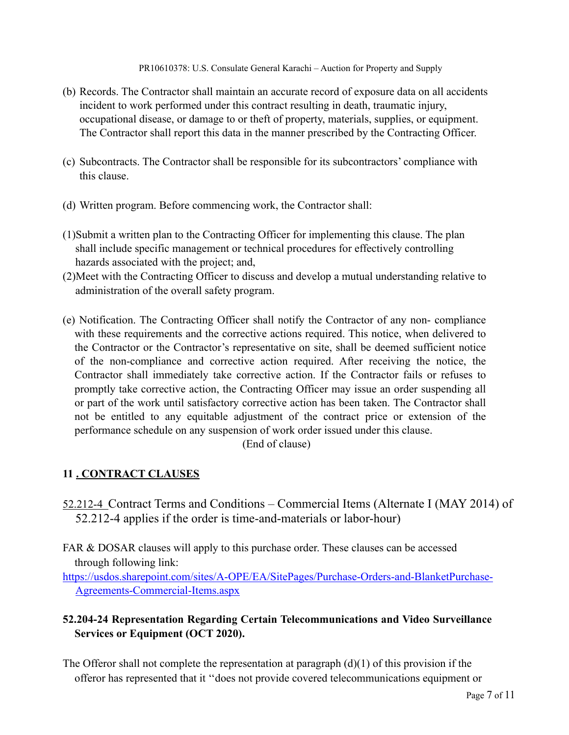- (b) Records. The Contractor shall maintain an accurate record of exposure data on all accidents incident to work performed under this contract resulting in death, traumatic injury, occupational disease, or damage to or theft of property, materials, supplies, or equipment. The Contractor shall report this data in the manner prescribed by the Contracting Officer.
- (c) Subcontracts. The Contractor shall be responsible for its subcontractors' compliance with this clause.
- (d) Written program. Before commencing work, the Contractor shall:
- (1)Submit a written plan to the Contracting Officer for implementing this clause. The plan shall include specific management or technical procedures for effectively controlling hazards associated with the project; and,
- (2)Meet with the Contracting Officer to discuss and develop a mutual understanding relative to administration of the overall safety program.
- (e) Notification. The Contracting Officer shall notify the Contractor of any non- compliance with these requirements and the corrective actions required. This notice, when delivered to the Contractor or the Contractor's representative on site, shall be deemed sufficient notice of the non-compliance and corrective action required. After receiving the notice, the Contractor shall immediately take corrective action. If the Contractor fails or refuses to promptly take corrective action, the Contracting Officer may issue an order suspending all or part of the work until satisfactory corrective action has been taken. The Contractor shall not be entitled to any equitable adjustment of the contract price or extension of the performance schedule on any suspension of work order issued under this clause.

(End of clause)

# **11 . CONTRACT CLAUSES**

- 52.212-4 Contract Terms and Conditions Commercial Items (Alternate I (MAY 2014) of 52.212-4 applies if the order is time-and-materials or labor-hour)
- FAR & DOSAR clauses will apply to this purchase order. These clauses can be accessed through following link:

[https://usdos.sharepoint.com/sites/A-OPE/EA/SitePages/Purchase-Orders-and-BlanketPurchase-](https://usdos.sharepoint.com/sites/A-OPE/EA/SitePages/Purchase-Orders-and-Blanket-Purchase-Agreements-Commercial-Items.aspx)[Agreements-Commercial-Items.aspx](https://usdos.sharepoint.com/sites/A-OPE/EA/SitePages/Purchase-Orders-and-Blanket-Purchase-Agreements-Commercial-Items.aspx)

# **52.204-24 Representation Regarding Certain Telecommunications and Video Surveillance Services or Equipment (OCT 2020).**

The Offeror shall not complete the representation at paragraph  $(d)(1)$  of this provision if the offeror has represented that it ''does not provide covered telecommunications equipment or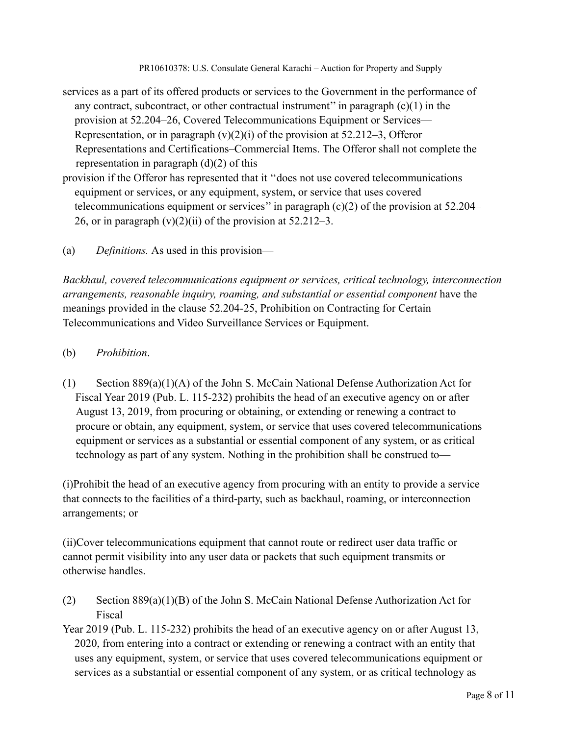- services as a part of its offered products or services to the Government in the performance of any contract, subcontract, or other contractual instrument" in paragraph  $(c)(1)$  in the provision at 52.204–26, Covered Telecommunications Equipment or Services— Representation, or in paragraph  $(v)(2)(i)$  of the provision at 52.212–3, Offeror Representations and Certifications–Commercial Items. The Offeror shall not complete the representation in paragraph  $(d)(2)$  of this
- provision if the Offeror has represented that it ''does not use covered telecommunications equipment or services, or any equipment, system, or service that uses covered telecommunications equipment or services'' in paragraph (c)(2) of the provision at 52.204– 26, or in paragraph  $(v)(2)(ii)$  of the provision at 52.212–3.
- (a) *Definitions.* As used in this provision—

*Backhaul, covered telecommunications equipment or services, critical technology, interconnection arrangements, reasonable inquiry, roaming, and substantial or essential component* have the meanings provided in the clause 52.204-25, Prohibition on Contracting for Certain Telecommunications and Video Surveillance Services or Equipment.

- (b) *Prohibition*.
- (1) Section 889(a)(1)(A) of the John S. McCain National Defense Authorization Act for Fiscal Year 2019 (Pub. L. 115-232) prohibits the head of an executive agency on or after August 13, 2019, from procuring or obtaining, or extending or renewing a contract to procure or obtain, any equipment, system, or service that uses covered telecommunications equipment or services as a substantial or essential component of any system, or as critical technology as part of any system. Nothing in the prohibition shall be construed to—

(i)Prohibit the head of an executive agency from procuring with an entity to provide a service that connects to the facilities of a third-party, such as backhaul, roaming, or interconnection arrangements; or

(ii)Cover telecommunications equipment that cannot route or redirect user data traffic or cannot permit visibility into any user data or packets that such equipment transmits or otherwise handles.

- (2) Section 889(a)(1)(B) of the John S. McCain National Defense Authorization Act for Fiscal
- Year 2019 (Pub. L. 115-232) prohibits the head of an executive agency on or after August 13, 2020, from entering into a contract or extending or renewing a contract with an entity that uses any equipment, system, or service that uses covered telecommunications equipment or services as a substantial or essential component of any system, or as critical technology as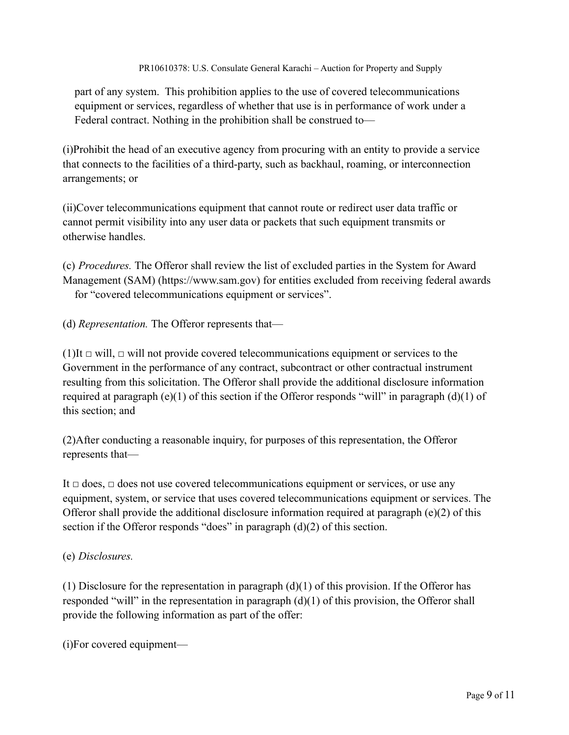part of any system. This prohibition applies to the use of covered telecommunications equipment or services, regardless of whether that use is in performance of work under a Federal contract. Nothing in the prohibition shall be construed to—

(i)Prohibit the head of an executive agency from procuring with an entity to provide a service that connects to the facilities of a third-party, such as backhaul, roaming, or interconnection arrangements; or

(ii)Cover telecommunications equipment that cannot route or redirect user data traffic or cannot permit visibility into any user data or packets that such equipment transmits or otherwise handles.

(c) *Procedures.* The Offeror shall review the list of excluded parties in the System for Award Management (SAM) (https://www.sam.gov) for entities excluded from receiving federal awards for "covered telecommunications equipment or services".

(d) *Representation.* The Offeror represents that—

(1)It *□* will, *□* will not provide covered telecommunications equipment or services to the Government in the performance of any contract, subcontract or other contractual instrument resulting from this solicitation. The Offeror shall provide the additional disclosure information required at paragraph (e)(1) of this section if the Offeror responds "will" in paragraph (d)(1) of this section; and

(2)After conducting a reasonable inquiry, for purposes of this representation, the Offeror represents that—

It *□* does, *□* does not use covered telecommunications equipment or services, or use any equipment, system, or service that uses covered telecommunications equipment or services. The Offeror shall provide the additional disclosure information required at paragraph (e)(2) of this section if the Offeror responds "does" in paragraph (d)(2) of this section.

## (e) *Disclosures.*

(1) Disclosure for the representation in paragraph  $(d)(1)$  of this provision. If the Offeror has responded "will" in the representation in paragraph (d)(1) of this provision, the Offeror shall provide the following information as part of the offer:

(i)For covered equipment—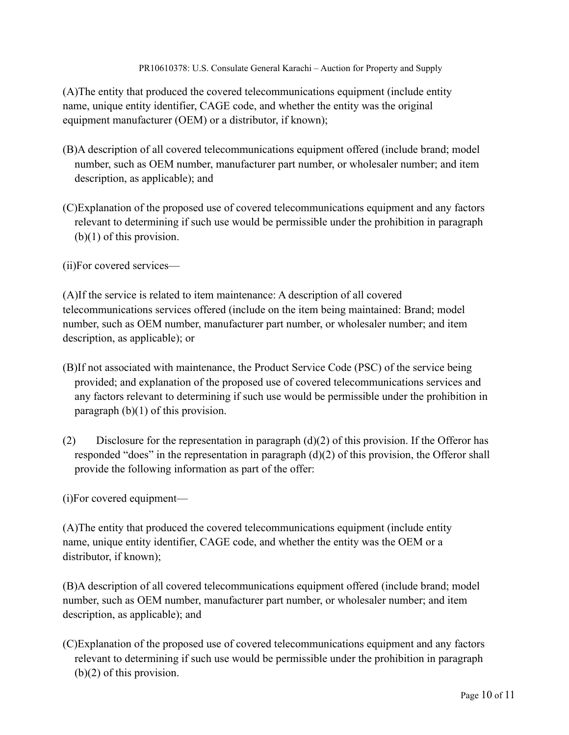(A)The entity that produced the covered telecommunications equipment (include entity name, unique entity identifier, CAGE code, and whether the entity was the original equipment manufacturer (OEM) or a distributor, if known);

- (B)A description of all covered telecommunications equipment offered (include brand; model number, such as OEM number, manufacturer part number, or wholesaler number; and item description, as applicable); and
- (C)Explanation of the proposed use of covered telecommunications equipment and any factors relevant to determining if such use would be permissible under the prohibition in paragraph (b)(1) of this provision.
- (ii)For covered services—

(A)If the service is related to item maintenance: A description of all covered telecommunications services offered (include on the item being maintained: Brand; model number, such as OEM number, manufacturer part number, or wholesaler number; and item description, as applicable); or

- (B)If not associated with maintenance, the Product Service Code (PSC) of the service being provided; and explanation of the proposed use of covered telecommunications services and any factors relevant to determining if such use would be permissible under the prohibition in paragraph (b)(1) of this provision.
- (2) Disclosure for the representation in paragraph  $(d)(2)$  of this provision. If the Offeror has responded "does" in the representation in paragraph (d)(2) of this provision, the Offeror shall provide the following information as part of the offer:

(i)For covered equipment—

(A)The entity that produced the covered telecommunications equipment (include entity name, unique entity identifier, CAGE code, and whether the entity was the OEM or a distributor, if known);

(B)A description of all covered telecommunications equipment offered (include brand; model number, such as OEM number, manufacturer part number, or wholesaler number; and item description, as applicable); and

(C)Explanation of the proposed use of covered telecommunications equipment and any factors relevant to determining if such use would be permissible under the prohibition in paragraph (b)(2) of this provision.